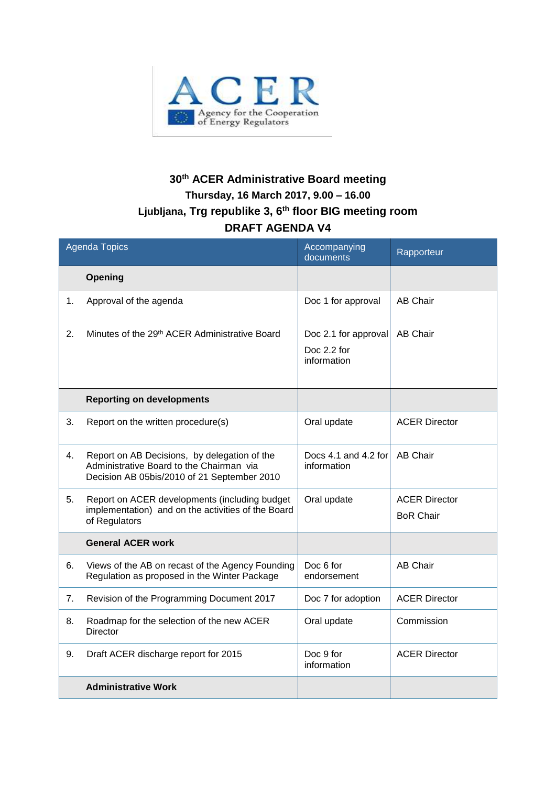

## **30th ACER Administrative Board meeting Thursday, 16 March 2017, 9.00 – 16.00 Ljubljana, Trg republike 3, 6th floor BIG meeting room DRAFT AGENDA V4**

| <b>Agenda Topics</b> |                                                                                                                                         | Accompanying<br>documents                          | Rapporteur                               |
|----------------------|-----------------------------------------------------------------------------------------------------------------------------------------|----------------------------------------------------|------------------------------------------|
|                      | Opening                                                                                                                                 |                                                    |                                          |
| 1.                   | Approval of the agenda                                                                                                                  | Doc 1 for approval                                 | <b>AB Chair</b>                          |
| 2.                   | Minutes of the 29 <sup>th</sup> ACER Administrative Board                                                                               | Doc 2.1 for approval<br>Doc 2.2 for<br>information | AB Chair                                 |
|                      | <b>Reporting on developments</b>                                                                                                        |                                                    |                                          |
| 3.                   | Report on the written procedure(s)                                                                                                      | Oral update                                        | <b>ACER Director</b>                     |
| 4.                   | Report on AB Decisions, by delegation of the<br>Administrative Board to the Chairman via<br>Decision AB 05bis/2010 of 21 September 2010 | Docs 4.1 and 4.2 for<br>information                | <b>AB Chair</b>                          |
| 5.                   | Report on ACER developments (including budget<br>implementation) and on the activities of the Board<br>of Regulators                    | Oral update                                        | <b>ACER Director</b><br><b>BoR Chair</b> |
|                      | <b>General ACER work</b>                                                                                                                |                                                    |                                          |
| 6.                   | Views of the AB on recast of the Agency Founding<br>Regulation as proposed in the Winter Package                                        | Doc 6 for<br>endorsement                           | <b>AB Chair</b>                          |
| 7.                   | Revision of the Programming Document 2017                                                                                               | Doc 7 for adoption                                 | <b>ACER Director</b>                     |
| 8.                   | Roadmap for the selection of the new ACER<br>Director                                                                                   | Oral update                                        | Commission                               |
| 9.                   | Draft ACER discharge report for 2015                                                                                                    | Doc 9 for<br>information                           | <b>ACER Director</b>                     |
|                      | <b>Administrative Work</b>                                                                                                              |                                                    |                                          |